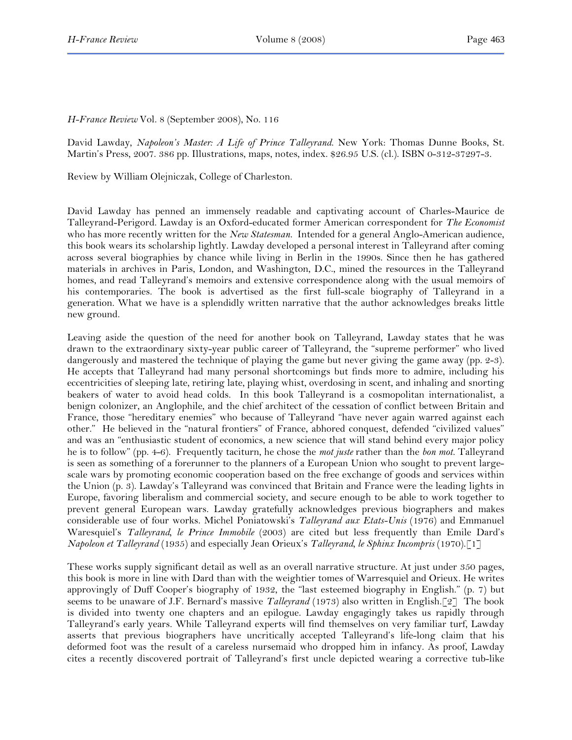*H-France Review* Vol. 8 (September 2008), No. 116

David Lawday, *Napoleon's Master: A Life of Prince Talleyrand*. New York: Thomas Dunne Books, St. Martin's Press, 2007. 386 pp. Illustrations, maps, notes, index. \$26.95 U.S. (cl.). ISBN 0-312-37297-3.

Review by William Olejniczak, College of Charleston.

David Lawday has penned an immensely readable and captivating account of Charles-Maurice de Talleyrand-Perigord. Lawday is an Oxford-educated former American correspondent for *The Economist* who has more recently written for the *New Statesman.* Intended for a general Anglo-American audience, this book wears its scholarship lightly. Lawday developed a personal interest in Talleyrand after coming across several biographies by chance while living in Berlin in the 1990s. Since then he has gathered materials in archives in Paris, London, and Washington, D.C., mined the resources in the Talleyrand homes, and read Talleyrand's memoirs and extensive correspondence along with the usual memoirs of his contemporaries. The book is advertised as the first full-scale biography of Talleyrand in a generation. What we have is a splendidly written narrative that the author acknowledges breaks little new ground.

Leaving aside the question of the need for another book on Talleyrand, Lawday states that he was drawn to the extraordinary sixty-year public career of Talleyrand, the "supreme performer" who lived dangerously and mastered the technique of playing the game but never giving the game away (pp. 2-3). He accepts that Talleyrand had many personal shortcomings but finds more to admire, including his eccentricities of sleeping late, retiring late, playing whist, overdosing in scent, and inhaling and snorting beakers of water to avoid head colds. In this book Talleyrand is a cosmopolitan internationalist, a benign colonizer, an Anglophile, and the chief architect of the cessation of conflict between Britain and France, those "hereditary enemies" who because of Talleyrand "have never again warred against each other." He believed in the "natural frontiers" of France, abhored conquest, defended "civilized values" and was an "enthusiastic student of economics, a new science that will stand behind every major policy he is to follow" (pp. 4-6). Frequently taciturn, he chose the *mot juste* rather than the *bon mot.* Talleyrand is seen as something of a forerunner to the planners of a European Union who sought to prevent largescale wars by promoting economic cooperation based on the free exchange of goods and services within the Union (p. 3). Lawday's Talleyrand was convinced that Britain and France were the leading lights in Europe, favoring liberalism and commercial society, and secure enough to be able to work together to prevent general European wars. Lawday gratefully acknowledges previous biographers and makes considerable use of four works. Michel Poniatowski's *Talleyrand aux Etats-Unis* (1976) and Emmanuel Waresquiel's *Talleyrand, le Prince Immobile* (2003) are cited but less frequently than Emile Dard's *Napoleon et Talleyrand* (1935) and especially Jean Orieux's *Talleyrand, le Sphinx Incompris* (1970).[1]

These works supply significant detail as well as an overall narrative structure. At just under 350 pages, this book is more in line with Dard than with the weightier tomes of Warresquiel and Orieux. He writes approvingly of Duff Cooper's biography of 1932, the "last esteemed biography in English." (p. 7) but seems to be unaware of J.F. Bernard's massive *Talleyrand* (1973) also written in English.[2] The book is divided into twenty one chapters and an epilogue. Lawday engagingly takes us rapidly through Talleyrand's early years. While Talleyrand experts will find themselves on very familiar turf, Lawday asserts that previous biographers have uncritically accepted Talleyrand's life-long claim that his deformed foot was the result of a careless nursemaid who dropped him in infancy. As proof, Lawday cites a recently discovered portrait of Talleyrand's first uncle depicted wearing a corrective tub-like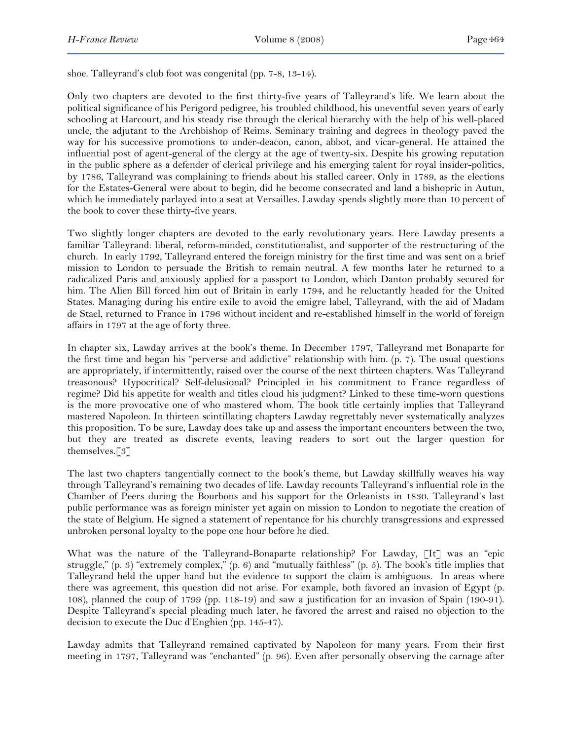shoe. Talleyrand's club foot was congenital (pp. 7-8, 13-14).

Only two chapters are devoted to the first thirty-five years of Talleyrand's life. We learn about the political significance of his Perigord pedigree, his troubled childhood, his uneventful seven years of early schooling at Harcourt, and his steady rise through the clerical hierarchy with the help of his well-placed uncle, the adjutant to the Archbishop of Reims. Seminary training and degrees in theology paved the way for his successive promotions to under-deacon, canon, abbot, and vicar-general. He attained the influential post of agent-general of the clergy at the age of twenty-six. Despite his growing reputation in the public sphere as a defender of clerical privilege and his emerging talent for royal insider-politics, by 1786, Talleyrand was complaining to friends about his stalled career. Only in 1789, as the elections for the Estates-General were about to begin, did he become consecrated and land a bishopric in Autun, which he immediately parlayed into a seat at Versailles. Lawday spends slightly more than 10 percent of the book to cover these thirty-five years.

Two slightly longer chapters are devoted to the early revolutionary years. Here Lawday presents a familiar Talleyrand: liberal, reform-minded, constitutionalist, and supporter of the restructuring of the church. In early 1792, Talleyrand entered the foreign ministry for the first time and was sent on a brief mission to London to persuade the British to remain neutral. A few months later he returned to a radicalized Paris and anxiously applied for a passport to London, which Danton probably secured for him. The Alien Bill forced him out of Britain in early 1794, and he reluctantly headed for the United States. Managing during his entire exile to avoid the emigre label, Talleyrand, with the aid of Madam de Stael, returned to France in 1796 without incident and re-established himself in the world of foreign affairs in 1797 at the age of forty three.

In chapter six, Lawday arrives at the book's theme. In December 1797, Talleyrand met Bonaparte for the first time and began his "perverse and addictive" relationship with him. (p. 7). The usual questions are appropriately, if intermittently, raised over the course of the next thirteen chapters. Was Talleyrand treasonous? Hypocritical? Self-delusional? Principled in his commitment to France regardless of regime? Did his appetite for wealth and titles cloud his judgment? Linked to these time-worn questions is the more provocative one of who mastered whom. The book title certainly implies that Talleyrand mastered Napoleon. In thirteen scintillating chapters Lawday regrettably never systematically analyzes this proposition. To be sure, Lawday does take up and assess the important encounters between the two, but they are treated as discrete events, leaving readers to sort out the larger question for themselves.[3]

The last two chapters tangentially connect to the book's theme, but Lawday skillfully weaves his way through Talleyrand's remaining two decades of life. Lawday recounts Talleyrand's influential role in the Chamber of Peers during the Bourbons and his support for the Orleanists in 1830. Talleyrand's last public performance was as foreign minister yet again on mission to London to negotiate the creation of the state of Belgium. He signed a statement of repentance for his churchly transgressions and expressed unbroken personal loyalty to the pope one hour before he died.

What was the nature of the Talleyrand-Bonaparte relationship? For Lawday, [It] was an "epic struggle," (p. 3) "extremely complex," (p. 6) and "mutually faithless" (p. 5). The book's title implies that Talleyrand held the upper hand but the evidence to support the claim is ambiguous. In areas where there was agreement, this question did not arise. For example, both favored an invasion of Egypt (p. 108), planned the coup of 1799 (pp. 118-19) and saw a justification for an invasion of Spain (190-91). Despite Talleyrand's special pleading much later, he favored the arrest and raised no objection to the decision to execute the Duc d'Enghien (pp. 145-47).

Lawday admits that Talleyrand remained captivated by Napoleon for many years. From their first meeting in 1797, Talleyrand was "enchanted" (p. 96). Even after personally observing the carnage after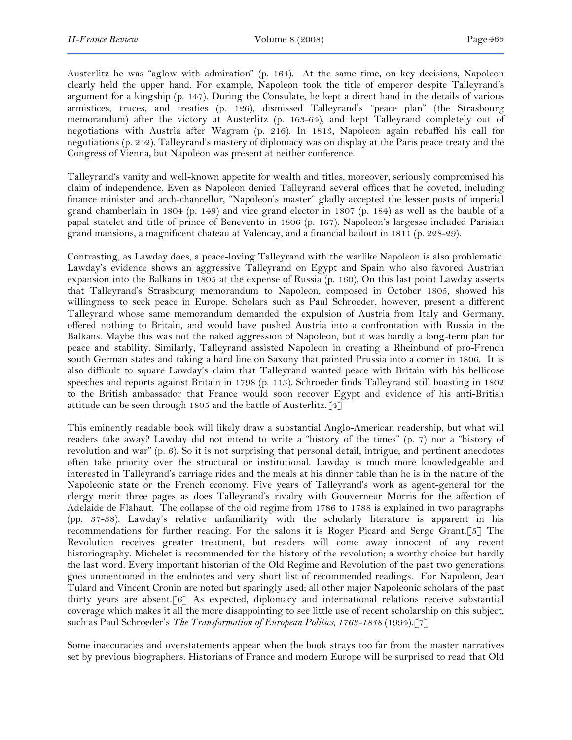Austerlitz he was "aglow with admiration" (p. 164). At the same time, on key decisions, Napoleon clearly held the upper hand. For example, Napoleon took the title of emperor despite Talleyrand's argument for a kingship (p. 147). During the Consulate, he kept a direct hand in the details of various armistices, truces, and treaties (p. 126), dismissed Talleyrand's "peace plan" (the Strasbourg memorandum) after the victory at Austerlitz (p. 163-64), and kept Talleyrand completely out of negotiations with Austria after Wagram (p. 216). In 1813, Napoleon again rebuffed his call for negotiations (p. 242). Talleyrand's mastery of diplomacy was on display at the Paris peace treaty and the Congress of Vienna, but Napoleon was present at neither conference.

Talleyrand's vanity and well-known appetite for wealth and titles, moreover, seriously compromised his claim of independence. Even as Napoleon denied Talleyrand several offices that he coveted, including finance minister and arch-chancellor, "Napoleon's master" gladly accepted the lesser posts of imperial grand chamberlain in 1804 (p. 149) and vice grand elector in 1807 (p. 184) as well as the bauble of a papal statelet and title of prince of Benevento in 1806 (p. 167). Napoleon's largesse included Parisian grand mansions, a magnificent chateau at Valencay, and a financial bailout in 1811 (p. 228-29).

Contrasting, as Lawday does, a peace-loving Talleyrand with the warlike Napoleon is also problematic. Lawday's evidence shows an aggressive Talleyrand on Egypt and Spain who also favored Austrian expansion into the Balkans in 1805 at the expense of Russia (p. 160). On this last point Lawday asserts that Talleyrand's Strasbourg memorandum to Napoleon, composed in October 1805, showed his willingness to seek peace in Europe. Scholars such as Paul Schroeder, however, present a different Talleyrand whose same memorandum demanded the expulsion of Austria from Italy and Germany, offered nothing to Britain, and would have pushed Austria into a confrontation with Russia in the Balkans. Maybe this was not the naked aggression of Napoleon, but it was hardly a long-term plan for peace and stability. Similarly, Talleyrand assisted Napoleon in creating a Rheinbund of pro-French south German states and taking a hard line on Saxony that painted Prussia into a corner in 1806. It is also difficult to square Lawday's claim that Talleyrand wanted peace with Britain with his bellicose speeches and reports against Britain in 1798 (p. 113). Schroeder finds Talleyrand still boasting in 1802 to the British ambassador that France would soon recover Egypt and evidence of his anti-British attitude can be seen through 1805 and the battle of Austerlitz.[4]

This eminently readable book will likely draw a substantial Anglo-American readership, but what will readers take away? Lawday did not intend to write a "history of the times" (p. 7) nor a "history of revolution and war" (p. 6). So it is not surprising that personal detail, intrigue, and pertinent anecdotes often take priority over the structural or institutional. Lawday is much more knowledgeable and interested in Talleyrand's carriage rides and the meals at his dinner table than he is in the nature of the Napoleonic state or the French economy. Five years of Talleyrand's work as agent-general for the clergy merit three pages as does Talleyrand's rivalry with Gouverneur Morris for the affection of Adelaide de Flahaut. The collapse of the old regime from 1786 to 1788 is explained in two paragraphs (pp. 37-38). Lawday's relative unfamiliarity with the scholarly literature is apparent in his recommendations for further reading. For the salons it is Roger Picard and Serge Grant.[5] The Revolution receives greater treatment, but readers will come away innocent of any recent historiography. Michelet is recommended for the history of the revolution; a worthy choice but hardly the last word. Every important historian of the Old Regime and Revolution of the past two generations goes unmentioned in the endnotes and very short list of recommended readings. For Napoleon, Jean Tulard and Vincent Cronin are noted but sparingly used; all other major Napoleonic scholars of the past thirty years are absent.[6] As expected, diplomacy and international relations receive substantial coverage which makes it all the more disappointing to see little use of recent scholarship on this subject, such as Paul Schroeder's *The Transformation of European Politics, 1763-1848* (1994).[7]

Some inaccuracies and overstatements appear when the book strays too far from the master narratives set by previous biographers. Historians of France and modern Europe will be surprised to read that Old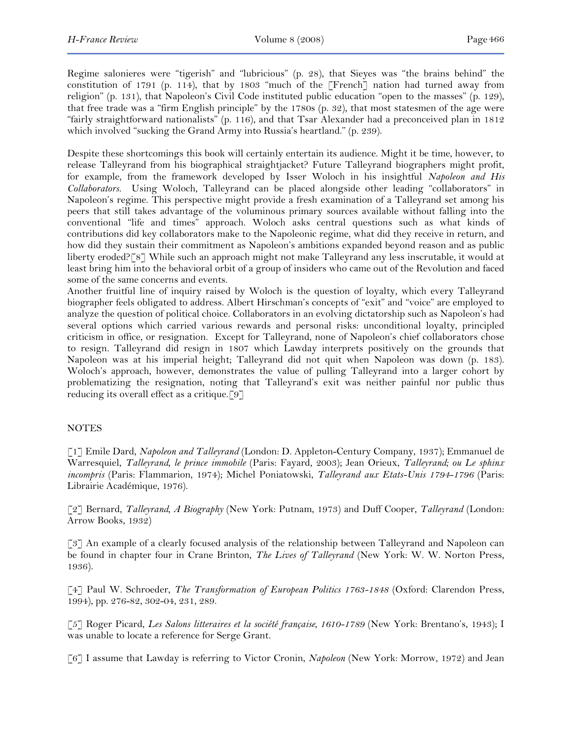Regime salonieres were "tigerish" and "lubricious" (p. 28), that Sieyes was "the brains behind" the constitution of 1791 (p. 114), that by 1803 "much of the [French] nation had turned away from religion" (p. 131), that Napoleon's Civil Code instituted public education "open to the masses" (p. 129), that free trade was a "firm English principle" by the 1780s (p. 32), that most statesmen of the age were "fairly straightforward nationalists" (p. 116), and that Tsar Alexander had a preconceived plan in 1812 which involved "sucking the Grand Army into Russia's heartland." (p. 239).

Despite these shortcomings this book will certainly entertain its audience. Might it be time, however, to release Talleyrand from his biographical straightjacket? Future Talleyrand biographers might profit, for example, from the framework developed by Isser Woloch in his insightful *Napoleon and His Collaborators.* Using Woloch, Talleyrand can be placed alongside other leading "collaborators" in Napoleon's regime. This perspective might provide a fresh examination of a Talleyrand set among his peers that still takes advantage of the voluminous primary sources available without falling into the conventional "life and times" approach. Woloch asks central questions such as what kinds of contributions did key collaborators make to the Napoleonic regime, what did they receive in return, and how did they sustain their commitment as Napoleon's ambitions expanded beyond reason and as public liberty eroded?[8] While such an approach might not make Talleyrand any less inscrutable, it would at least bring him into the behavioral orbit of a group of insiders who came out of the Revolution and faced some of the same concerns and events.

Another fruitful line of inquiry raised by Woloch is the question of loyalty, which every Talleyrand biographer feels obligated to address. Albert Hirschman's concepts of "exit" and "voice" are employed to analyze the question of political choice. Collaborators in an evolving dictatorship such as Napoleon's had several options which carried various rewards and personal risks: unconditional loyalty, principled criticism in office, or resignation. Except for Talleyrand, none of Napoleon's chief collaborators chose to resign. Talleyrand did resign in 1807 which Lawday interprets positively on the grounds that Napoleon was at his imperial height; Talleyrand did not quit when Napoleon was down (p. 183). Woloch's approach, however, demonstrates the value of pulling Talleyrand into a larger cohort by problematizing the resignation, noting that Talleyrand's exit was neither painful nor public thus reducing its overall effect as a critique.[9]

## NOTES

[1] Emile Dard, *Napoleon and Talleyrand* (London: D. Appleton-Century Company, 1937); Emmanuel de Warresquiel, *Talleyrand, le prince immobile* (Paris: Fayard, 2003); Jean Orieux, *Talleyrand; ou Le sphinx incompris* (Paris: Flammarion, 1974); Michel Poniatowski, *Talleyrand aux Etats-Unis 1794-1796* (Paris: Librairie Académique, 1976).

[2] Bernard, *Talleyrand, A Biography* (New York: Putnam, 1973) and Duff Cooper, *Talleyrand* (London: Arrow Books, 1932)

[3] An example of a clearly focused analysis of the relationship between Talleyrand and Napoleon can be found in chapter four in Crane Brinton, *The Lives of Talleyrand* (New York: W. W. Norton Press, 1936).

[4] Paul W. Schroeder, *The Transformation of European Politics 1763-1848* (Oxford: Clarendon Press, 1994), pp. 276-82, 302-04, 231, 289.

[5] Roger Picard, *Les Salons litteraires et la société française, 1610-1789* (New York: Brentano's, 1943); I was unable to locate a reference for Serge Grant.

[6] I assume that Lawday is referring to Victor Cronin, *Napoleon* (New York: Morrow, 1972) and Jean